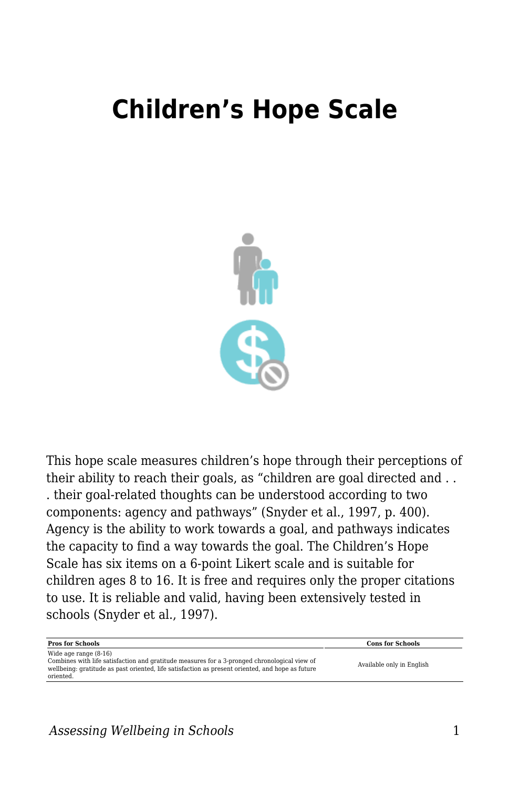## **Children's Hope Scale**



This hope scale measures children's hope through their perceptions of their ability to reach their goals, as "children are goal directed and . . . their goal-related thoughts can be understood according to two components: agency and pathways" (Snyder et al., 1997, p. 400). Agency is the ability to work towards a goal, and pathways indicates the capacity to find a way towards the goal. The Children's Hope Scale has six items on a 6-point Likert scale and is suitable for children ages 8 to 16. It is free and requires only the proper citations to use. It is reliable and valid, having been extensively tested in schools (Snyder et al., 1997).

| <b>Pros for Schools</b>                                                                                                                                                                                                                  | <b>Cons for Schools</b>   |
|------------------------------------------------------------------------------------------------------------------------------------------------------------------------------------------------------------------------------------------|---------------------------|
| Wide age range $(8-16)$<br>Combines with life satisfaction and gratitude measures for a 3-pronged chronological view of<br>wellbeing; gratitude as past oriented, life satisfaction as present oriented, and hope as future<br>oriented. | Available only in English |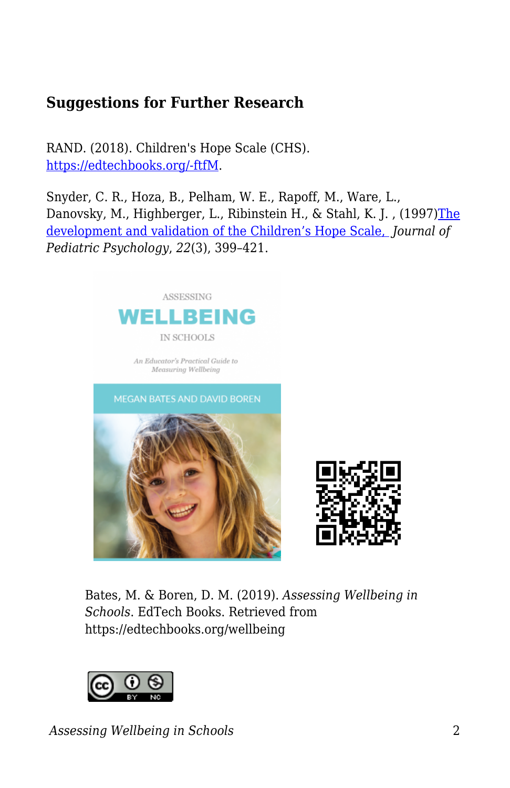## **Suggestions for Further Research**

RAND. (2018). Children's Hope Scale (CHS). [https://edtechbooks.org/-ftfM.](https://www.rand.org/education-and-labor/projects/assessments/tool/1997/childrens-hope-scale-chs.html)

Snyder, C. R., Hoza, B., Pelham, W. E., Rapoff, M., Ware, L., Danovsky, M., Highberger, L., Ribinstein H., & Stahl, K. J. , (1997[\)The](https://academic.oup.com/jpepsy/article/22/3/399/917485) [development and validation of the Children's Hope Scale,](https://academic.oup.com/jpepsy/article/22/3/399/917485) *Journal of Pediatric Psychology*, *22*(3), 399–421.





Bates, M. & Boren, D. M. (2019). *Assessing Wellbeing in Schools*. EdTech Books. Retrieved from https://edtechbooks.org/wellbeing



*Assessing Wellbeing in Schools* 2